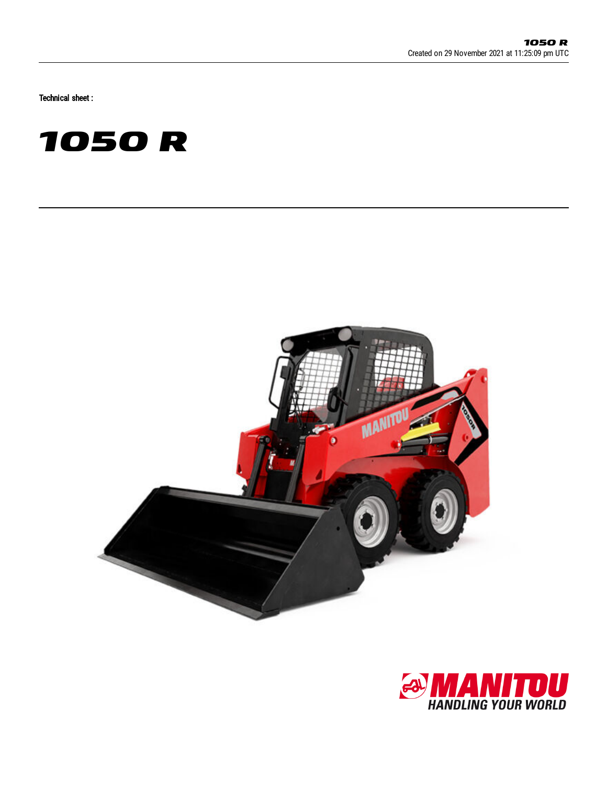Technical sheet :





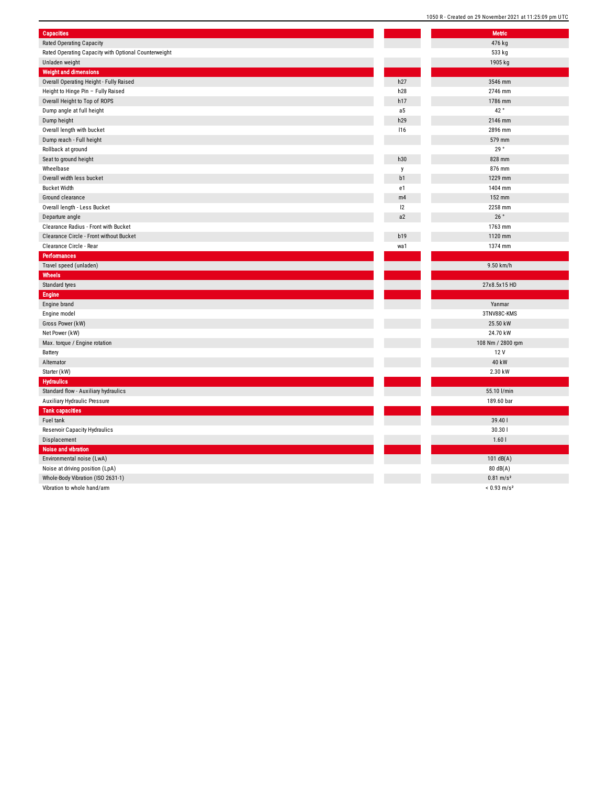| <b>Capacities</b>                                    |            | <b>Metric</b>      |
|------------------------------------------------------|------------|--------------------|
| <b>Rated Operating Capacity</b>                      |            | 476 kg             |
| Rated Operating Capacity with Optional Counterweight |            | 533 kg             |
| Unladen weight                                       |            | 1905 kg            |
| <b>Weight and dimensions</b>                         |            |                    |
| Overall Operating Height - Fully Raised              | h27        | 3546 mm            |
| Height to Hinge Pin - Fully Raised                   | h28        | 2746 mm            |
| Overall Height to Top of ROPS                        | h17        | 1786 mm            |
| Dump angle at full height                            | a5         | 42°                |
| Dump height                                          | h29        | 2146 mm            |
| Overall length with bucket                           | <b>116</b> | 2896 mm            |
| Dump reach - Full height                             |            | 579 mm             |
| Rollback at ground                                   |            | 29°                |
| Seat to ground height                                | h30        | 828 mm             |
| Wheelbase                                            | y          | 876 mm             |
| Overall width less bucket                            | b1         | 1229 mm            |
| <b>Bucket Width</b>                                  | e1         | 1404 mm            |
| Ground clearance                                     | m4         | 152 mm             |
| Overall length - Less Bucket                         | 12         | 2258 mm            |
| Departure angle                                      | a2         | 26 $^{\circ}$      |
| Clearance Radius - Front with Bucket                 |            | 1763 mm            |
| Clearance Circle - Front without Bucket              | b19        | 1120 mm            |
| Clearance Circle - Rear                              | wa1        | 1374 mm            |
| <b>Performances</b>                                  |            |                    |
| Travel speed (unladen)                               |            | 9.50 km/h          |
| Wheels                                               |            |                    |
| Standard tyres                                       |            | 27x8.5x15          |
| Engine                                               |            |                    |
| Engine brand                                         |            | Yanmar             |
| Engine model                                         |            | 3TNV88C-K          |
| Gross Power (kW)                                     |            | 25.50 kW           |
| Net Power (kW)                                       |            | 24.70 kW           |
| Max. torque / Engine rotation                        |            | 108 Nm / 280       |
| Battery                                              |            | 12 V               |
| Alternator                                           |            | 40 kW              |
| Starter (kW)                                         |            | 2.30 kW            |
| <b>Hydraulics</b>                                    |            |                    |
| Standard flow - Auxiliary hydraulics                 |            | 55.10 l/mi         |
| Auxiliary Hydraulic Pressure                         |            | 189.60 ba          |
| <b>Tank capacities</b>                               |            |                    |
| Fuel tank                                            |            | 39.40              |
| Reservoir Capacity Hydraulics                        |            | 30.301             |
| Displacement                                         |            | 1.60l              |
| <b>Noise and vibration</b>                           |            |                    |
| Environmental noise (LwA)                            |            | 101 dB(A           |
| Noise at driving position (LpA)                      |            | 80 dB(A)           |
| Whole-Body Vibration (ISO 2631-1)                    |            | $0.81 \text{ m/s}$ |
|                                                      |            |                    |

Vibration to whole hand/arm

|                | <b>Metric</b>                                     |
|----------------|---------------------------------------------------|
|                | 476 kg                                            |
|                | 533 kg                                            |
|                | 1905 kg                                           |
|                |                                                   |
| 7              | 3546 mm                                           |
| 8              | 2746 mm                                           |
| 7              | 1786 mm                                           |
| 5              | 42°                                               |
| 9              | 2146 mm                                           |
| 5              | 2896 mm                                           |
|                | 579 mm                                            |
|                | 29°                                               |
|                |                                                   |
| Ó              | 828 mm                                            |
|                | 876 mm                                            |
| I              | 1229 mm                                           |
|                | 1404 mm                                           |
| 4              | 152 mm                                            |
|                | 2258 mm                                           |
| $\overline{ }$ | 26°                                               |
|                | 1763 mm                                           |
| 9              | 1120 mm                                           |
| 1              | 1374 mm                                           |
|                |                                                   |
|                |                                                   |
|                | 9.50 km/h                                         |
|                |                                                   |
|                | 27x8.5x15 HD                                      |
|                |                                                   |
|                | Yanmar                                            |
|                | 3TNV88C-KMS                                       |
|                | 25.50 kW                                          |
|                | 24.70 kW                                          |
|                | 108 Nm / 2800 rpm                                 |
|                | 12 V                                              |
|                | 40 kW                                             |
|                |                                                   |
|                | 2.30 kW                                           |
|                |                                                   |
|                | 55.10 l/min                                       |
|                | 189.60 bar                                        |
|                |                                                   |
|                | 39.40                                             |
|                | 30.301                                            |
|                | 1.601                                             |
|                |                                                   |
|                | 101 $dB(A)$                                       |
|                | 80 dB(A)                                          |
|                | $0.81 \text{ m/s}^2$<br>$< 0.93$ m/s <sup>2</sup> |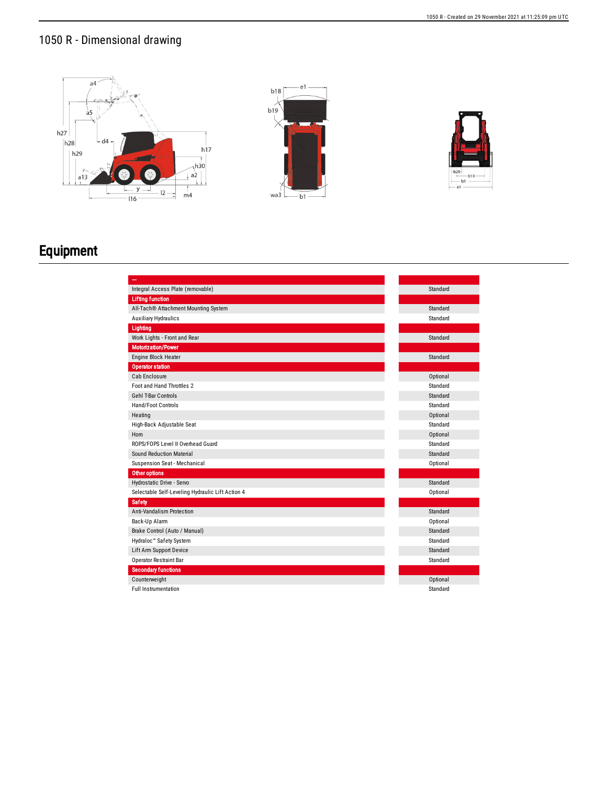## 1050 R - Dimensional drawing





## Equipment

| Integral Access Plate (removable)                | Standard |
|--------------------------------------------------|----------|
| <b>Lifting function</b>                          |          |
| All-Tach® Attachment Mounting System             | Standard |
| <b>Auxiliary Hydraulics</b>                      | Standard |
| Lighting                                         |          |
| Work Lights - Front and Rear                     | Standard |
| <b>Motorization/Power</b>                        |          |
| Engine Block Heater                              | Standard |
| <b>Operator station</b>                          |          |
| Cab Enclosure                                    | Optional |
| Foot and Hand Throttles 2                        | Standard |
| <b>Gehl T-Bar Controls</b>                       | Standard |
| Hand/Foot Controls                               | Standard |
| Heating                                          | Optional |
| High-Back Adjustable Seat                        | Standard |
| Horn                                             | Optional |
| ROPS/FOPS Level II Overhead Guard                | Standard |
| Sound Reduction Material                         | Standard |
| Suspension Seat - Mechanical                     | Optional |
| Other options                                    |          |
| Hydrostatic Drive - Servo                        | Standard |
| Selectable Self-Leveling Hydraulic Lift Action 4 | Optional |
| <b>Safety</b>                                    |          |
| Anti-Vandalism Protection                        | Standard |
| Back-Up Alarm                                    | Optional |
| Brake Control (Auto / Manual)                    | Standard |
| Hydraloc <sup>™</sup> Safety System              | Standard |
| Lift Arm Support Device                          | Standard |
| Operator Restraint Bar                           | Standard |
| <b>Secondary functions</b>                       |          |
| Counterweight                                    | Optional |
| <b>Full Instrumentation</b>                      | Standard |